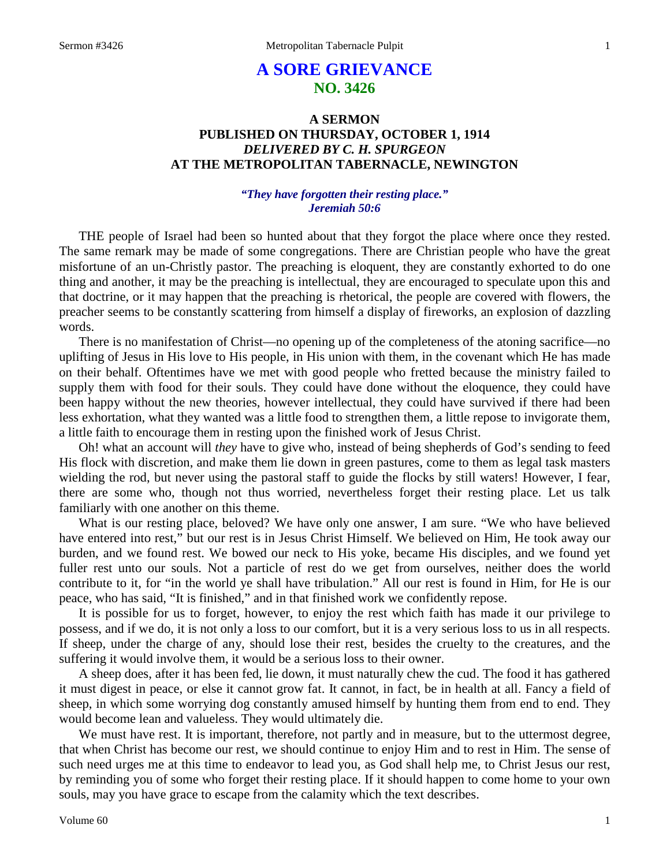# **A SORE GRIEVANCE NO. 3426**

# **A SERMON PUBLISHED ON THURSDAY, OCTOBER 1, 1914** *DELIVERED BY C. H. SPURGEON* **AT THE METROPOLITAN TABERNACLE, NEWINGTON**

## *"They have forgotten their resting place." Jeremiah 50:6*

THE people of Israel had been so hunted about that they forgot the place where once they rested. The same remark may be made of some congregations. There are Christian people who have the great misfortune of an un-Christly pastor. The preaching is eloquent, they are constantly exhorted to do one thing and another, it may be the preaching is intellectual, they are encouraged to speculate upon this and that doctrine, or it may happen that the preaching is rhetorical, the people are covered with flowers, the preacher seems to be constantly scattering from himself a display of fireworks, an explosion of dazzling words.

There is no manifestation of Christ—no opening up of the completeness of the atoning sacrifice—no uplifting of Jesus in His love to His people, in His union with them, in the covenant which He has made on their behalf. Oftentimes have we met with good people who fretted because the ministry failed to supply them with food for their souls. They could have done without the eloquence, they could have been happy without the new theories, however intellectual, they could have survived if there had been less exhortation, what they wanted was a little food to strengthen them, a little repose to invigorate them, a little faith to encourage them in resting upon the finished work of Jesus Christ.

Oh! what an account will *they* have to give who, instead of being shepherds of God's sending to feed His flock with discretion, and make them lie down in green pastures, come to them as legal task masters wielding the rod, but never using the pastoral staff to guide the flocks by still waters! However, I fear, there are some who, though not thus worried, nevertheless forget their resting place. Let us talk familiarly with one another on this theme.

What is our resting place, beloved? We have only one answer, I am sure. "We who have believed have entered into rest," but our rest is in Jesus Christ Himself. We believed on Him, He took away our burden, and we found rest. We bowed our neck to His yoke, became His disciples, and we found yet fuller rest unto our souls. Not a particle of rest do we get from ourselves, neither does the world contribute to it, for "in the world ye shall have tribulation." All our rest is found in Him, for He is our peace, who has said, "It is finished," and in that finished work we confidently repose.

It is possible for us to forget, however, to enjoy the rest which faith has made it our privilege to possess, and if we do, it is not only a loss to our comfort, but it is a very serious loss to us in all respects. If sheep, under the charge of any, should lose their rest, besides the cruelty to the creatures, and the suffering it would involve them, it would be a serious loss to their owner.

A sheep does, after it has been fed, lie down, it must naturally chew the cud. The food it has gathered it must digest in peace, or else it cannot grow fat. It cannot, in fact, be in health at all. Fancy a field of sheep, in which some worrying dog constantly amused himself by hunting them from end to end. They would become lean and valueless. They would ultimately die.

We must have rest. It is important, therefore, not partly and in measure, but to the uttermost degree, that when Christ has become our rest, we should continue to enjoy Him and to rest in Him. The sense of such need urges me at this time to endeavor to lead you, as God shall help me, to Christ Jesus our rest, by reminding you of some who forget their resting place. If it should happen to come home to your own souls, may you have grace to escape from the calamity which the text describes.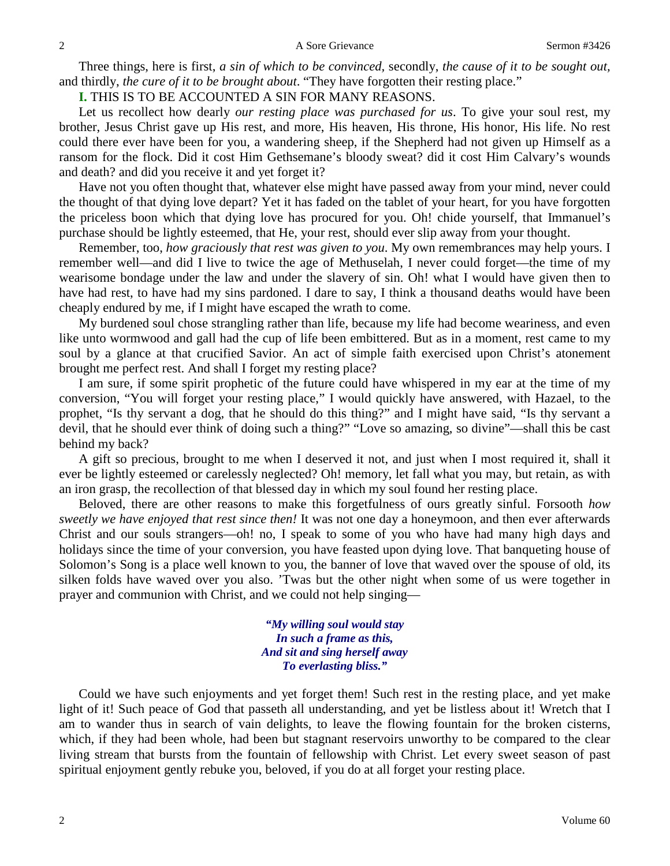Three things, here is first, *a sin of which to be convinced,* secondly, *the cause of it to be sought out,* and thirdly, *the cure of it to be brought about*. "They have forgotten their resting place."

**I.** THIS IS TO BE ACCOUNTED A SIN FOR MANY REASONS.

Let us recollect how dearly *our resting place was purchased for us*. To give your soul rest, my brother, Jesus Christ gave up His rest, and more, His heaven, His throne, His honor, His life. No rest could there ever have been for you, a wandering sheep, if the Shepherd had not given up Himself as a ransom for the flock. Did it cost Him Gethsemane's bloody sweat? did it cost Him Calvary's wounds and death? and did you receive it and yet forget it?

Have not you often thought that, whatever else might have passed away from your mind, never could the thought of that dying love depart? Yet it has faded on the tablet of your heart, for you have forgotten the priceless boon which that dying love has procured for you. Oh! chide yourself, that Immanuel's purchase should be lightly esteemed, that He, your rest, should ever slip away from your thought.

Remember, too, *how graciously that rest was given to you*. My own remembrances may help yours. I remember well—and did I live to twice the age of Methuselah, I never could forget—the time of my wearisome bondage under the law and under the slavery of sin. Oh! what I would have given then to have had rest, to have had my sins pardoned. I dare to say, I think a thousand deaths would have been cheaply endured by me, if I might have escaped the wrath to come.

My burdened soul chose strangling rather than life, because my life had become weariness, and even like unto wormwood and gall had the cup of life been embittered. But as in a moment, rest came to my soul by a glance at that crucified Savior. An act of simple faith exercised upon Christ's atonement brought me perfect rest. And shall I forget my resting place?

I am sure, if some spirit prophetic of the future could have whispered in my ear at the time of my conversion, "You will forget your resting place," I would quickly have answered, with Hazael, to the prophet, "Is thy servant a dog, that he should do this thing?" and I might have said, "Is thy servant a devil, that he should ever think of doing such a thing?" "Love so amazing, so divine"—shall this be cast behind my back?

A gift so precious, brought to me when I deserved it not, and just when I most required it, shall it ever be lightly esteemed or carelessly neglected? Oh! memory, let fall what you may, but retain, as with an iron grasp, the recollection of that blessed day in which my soul found her resting place.

Beloved, there are other reasons to make this forgetfulness of ours greatly sinful. Forsooth *how sweetly we have enjoyed that rest since then!* It was not one day a honeymoon, and then ever afterwards Christ and our souls strangers—oh! no, I speak to some of you who have had many high days and holidays since the time of your conversion, you have feasted upon dying love. That banqueting house of Solomon's Song is a place well known to you, the banner of love that waved over the spouse of old, its silken folds have waved over you also. 'Twas but the other night when some of us were together in prayer and communion with Christ, and we could not help singing—

> *"My willing soul would stay In such a frame as this, And sit and sing herself away To everlasting bliss."*

Could we have such enjoyments and yet forget them! Such rest in the resting place, and yet make light of it! Such peace of God that passeth all understanding, and yet be listless about it! Wretch that I am to wander thus in search of vain delights, to leave the flowing fountain for the broken cisterns, which, if they had been whole, had been but stagnant reservoirs unworthy to be compared to the clear living stream that bursts from the fountain of fellowship with Christ. Let every sweet season of past spiritual enjoyment gently rebuke you, beloved, if you do at all forget your resting place.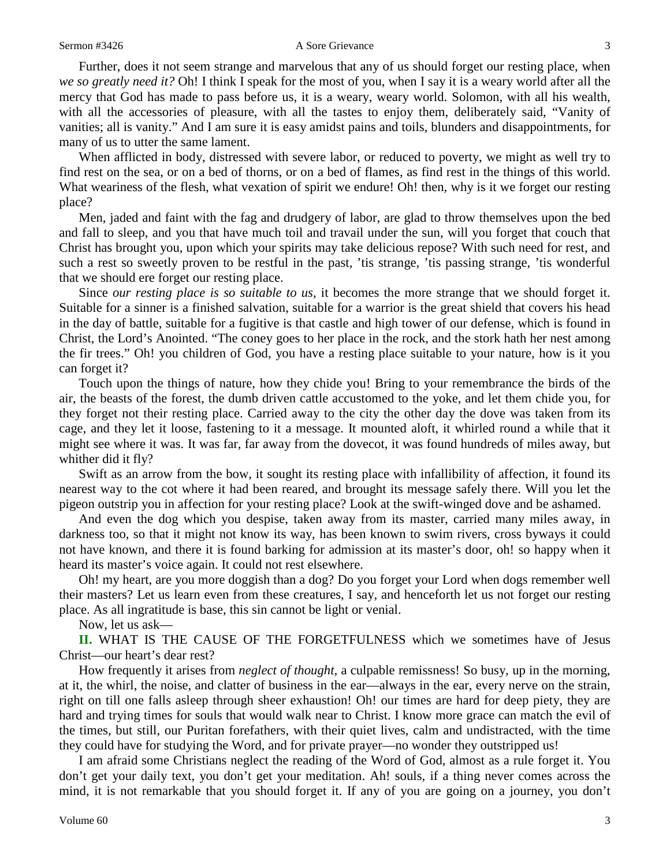#### Sermon #3426 A Sore Grievance 3

Further, does it not seem strange and marvelous that any of us should forget our resting place, when *we so greatly need it?* Oh! I think I speak for the most of you, when I say it is a weary world after all the mercy that God has made to pass before us, it is a weary, weary world. Solomon, with all his wealth, with all the accessories of pleasure, with all the tastes to enjoy them, deliberately said, "Vanity of vanities; all is vanity." And I am sure it is easy amidst pains and toils, blunders and disappointments, for many of us to utter the same lament.

When afflicted in body, distressed with severe labor, or reduced to poverty, we might as well try to find rest on the sea, or on a bed of thorns, or on a bed of flames, as find rest in the things of this world. What weariness of the flesh, what vexation of spirit we endure! Oh! then, why is it we forget our resting place?

Men, jaded and faint with the fag and drudgery of labor, are glad to throw themselves upon the bed and fall to sleep, and you that have much toil and travail under the sun, will you forget that couch that Christ has brought you, upon which your spirits may take delicious repose? With such need for rest, and such a rest so sweetly proven to be restful in the past, 'tis strange, 'tis passing strange, 'tis wonderful that we should ere forget our resting place.

Since *our resting place is so suitable to us*, it becomes the more strange that we should forget it. Suitable for a sinner is a finished salvation, suitable for a warrior is the great shield that covers his head in the day of battle, suitable for a fugitive is that castle and high tower of our defense, which is found in Christ, the Lord's Anointed. "The coney goes to her place in the rock, and the stork hath her nest among the fir trees." Oh! you children of God, you have a resting place suitable to your nature, how is it you can forget it?

Touch upon the things of nature, how they chide you! Bring to your remembrance the birds of the air, the beasts of the forest, the dumb driven cattle accustomed to the yoke, and let them chide you, for they forget not their resting place. Carried away to the city the other day the dove was taken from its cage, and they let it loose, fastening to it a message. It mounted aloft, it whirled round a while that it might see where it was. It was far, far away from the dovecot, it was found hundreds of miles away, but whither did it fly?

Swift as an arrow from the bow, it sought its resting place with infallibility of affection, it found its nearest way to the cot where it had been reared, and brought its message safely there. Will you let the pigeon outstrip you in affection for your resting place? Look at the swift-winged dove and be ashamed.

And even the dog which you despise, taken away from its master, carried many miles away, in darkness too, so that it might not know its way, has been known to swim rivers, cross byways it could not have known, and there it is found barking for admission at its master's door, oh! so happy when it heard its master's voice again. It could not rest elsewhere.

Oh! my heart, are you more doggish than a dog? Do you forget your Lord when dogs remember well their masters? Let us learn even from these creatures, I say, and henceforth let us not forget our resting place. As all ingratitude is base, this sin cannot be light or venial.

Now, let us ask—

**II.** WHAT IS THE CAUSE OF THE FORGETFULNESS which we sometimes have of Jesus Christ—our heart's dear rest?

How frequently it arises from *neglect of thought,* a culpable remissness! So busy, up in the morning, at it, the whirl, the noise, and clatter of business in the ear—always in the ear, every nerve on the strain, right on till one falls asleep through sheer exhaustion! Oh! our times are hard for deep piety, they are hard and trying times for souls that would walk near to Christ. I know more grace can match the evil of the times, but still, our Puritan forefathers, with their quiet lives, calm and undistracted, with the time they could have for studying the Word, and for private prayer—no wonder they outstripped us!

I am afraid some Christians neglect the reading of the Word of God, almost as a rule forget it. You don't get your daily text, you don't get your meditation. Ah! souls, if a thing never comes across the mind, it is not remarkable that you should forget it. If any of you are going on a journey, you don't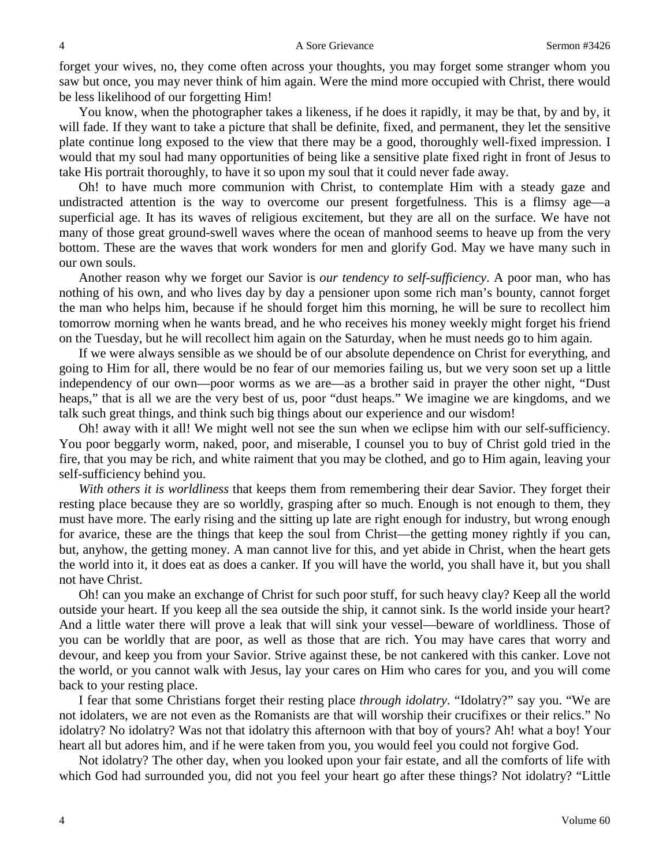forget your wives, no, they come often across your thoughts, you may forget some stranger whom you saw but once, you may never think of him again. Were the mind more occupied with Christ, there would be less likelihood of our forgetting Him!

You know, when the photographer takes a likeness, if he does it rapidly, it may be that, by and by, it will fade. If they want to take a picture that shall be definite, fixed, and permanent, they let the sensitive plate continue long exposed to the view that there may be a good, thoroughly well-fixed impression. I would that my soul had many opportunities of being like a sensitive plate fixed right in front of Jesus to take His portrait thoroughly, to have it so upon my soul that it could never fade away.

Oh! to have much more communion with Christ, to contemplate Him with a steady gaze and undistracted attention is the way to overcome our present forgetfulness. This is a flimsy age—a superficial age. It has its waves of religious excitement, but they are all on the surface. We have not many of those great ground-swell waves where the ocean of manhood seems to heave up from the very bottom. These are the waves that work wonders for men and glorify God. May we have many such in our own souls.

Another reason why we forget our Savior is *our tendency to self-sufficiency*. A poor man, who has nothing of his own, and who lives day by day a pensioner upon some rich man's bounty, cannot forget the man who helps him, because if he should forget him this morning, he will be sure to recollect him tomorrow morning when he wants bread, and he who receives his money weekly might forget his friend on the Tuesday, but he will recollect him again on the Saturday, when he must needs go to him again.

If we were always sensible as we should be of our absolute dependence on Christ for everything, and going to Him for all, there would be no fear of our memories failing us, but we very soon set up a little independency of our own—poor worms as we are—as a brother said in prayer the other night, "Dust heaps," that is all we are the very best of us, poor "dust heaps." We imagine we are kingdoms, and we talk such great things, and think such big things about our experience and our wisdom!

Oh! away with it all! We might well not see the sun when we eclipse him with our self-sufficiency. You poor beggarly worm, naked, poor, and miserable, I counsel you to buy of Christ gold tried in the fire, that you may be rich, and white raiment that you may be clothed, and go to Him again, leaving your self-sufficiency behind you.

*With others it is worldliness* that keeps them from remembering their dear Savior. They forget their resting place because they are so worldly, grasping after so much. Enough is not enough to them, they must have more. The early rising and the sitting up late are right enough for industry, but wrong enough for avarice, these are the things that keep the soul from Christ—the getting money rightly if you can, but, anyhow, the getting money. A man cannot live for this, and yet abide in Christ, when the heart gets the world into it, it does eat as does a canker. If you will have the world, you shall have it, but you shall not have Christ.

Oh! can you make an exchange of Christ for such poor stuff, for such heavy clay? Keep all the world outside your heart. If you keep all the sea outside the ship, it cannot sink. Is the world inside your heart? And a little water there will prove a leak that will sink your vessel—beware of worldliness. Those of you can be worldly that are poor, as well as those that are rich. You may have cares that worry and devour, and keep you from your Savior. Strive against these, be not cankered with this canker. Love not the world, or you cannot walk with Jesus, lay your cares on Him who cares for you, and you will come back to your resting place.

I fear that some Christians forget their resting place *through idolatry*. "Idolatry?" say you. "We are not idolaters, we are not even as the Romanists are that will worship their crucifixes or their relics." No idolatry? No idolatry? Was not that idolatry this afternoon with that boy of yours? Ah! what a boy! Your heart all but adores him, and if he were taken from you, you would feel you could not forgive God.

Not idolatry? The other day, when you looked upon your fair estate, and all the comforts of life with which God had surrounded you, did not you feel your heart go after these things? Not idolatry? "Little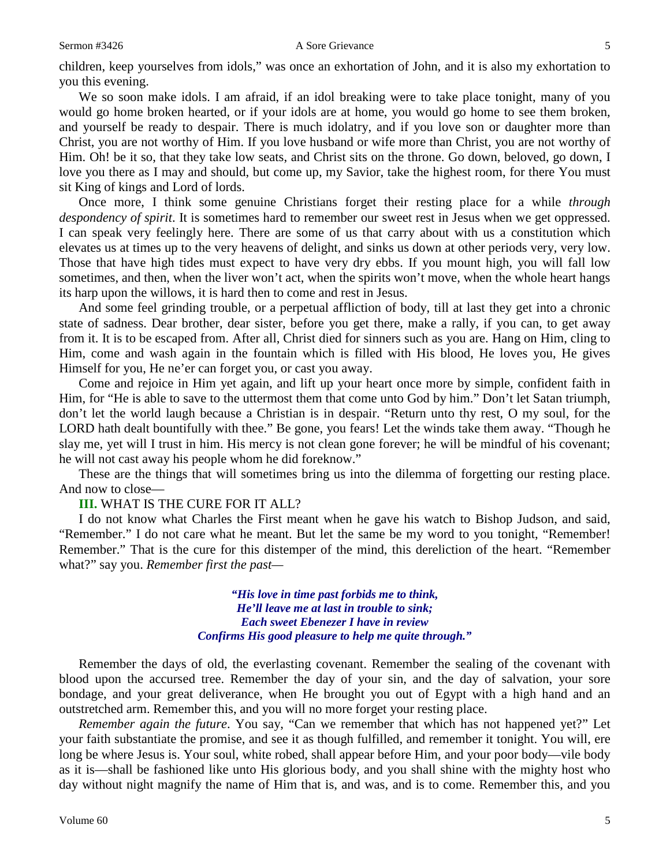#### Sermon #3426 **A** Sore Grievance 5

children, keep yourselves from idols," was once an exhortation of John, and it is also my exhortation to you this evening.

We so soon make idols. I am afraid, if an idol breaking were to take place tonight, many of you would go home broken hearted, or if your idols are at home, you would go home to see them broken, and yourself be ready to despair. There is much idolatry, and if you love son or daughter more than Christ, you are not worthy of Him. If you love husband or wife more than Christ, you are not worthy of Him. Oh! be it so, that they take low seats, and Christ sits on the throne. Go down, beloved, go down, I love you there as I may and should, but come up, my Savior, take the highest room, for there You must sit King of kings and Lord of lords.

Once more, I think some genuine Christians forget their resting place for a while *through despondency of spirit*. It is sometimes hard to remember our sweet rest in Jesus when we get oppressed. I can speak very feelingly here. There are some of us that carry about with us a constitution which elevates us at times up to the very heavens of delight, and sinks us down at other periods very, very low. Those that have high tides must expect to have very dry ebbs. If you mount high, you will fall low sometimes, and then, when the liver won't act, when the spirits won't move, when the whole heart hangs its harp upon the willows, it is hard then to come and rest in Jesus.

And some feel grinding trouble, or a perpetual affliction of body, till at last they get into a chronic state of sadness. Dear brother, dear sister, before you get there, make a rally, if you can, to get away from it. It is to be escaped from. After all, Christ died for sinners such as you are. Hang on Him, cling to Him, come and wash again in the fountain which is filled with His blood, He loves you, He gives Himself for you, He ne'er can forget you, or cast you away.

Come and rejoice in Him yet again, and lift up your heart once more by simple, confident faith in Him, for "He is able to save to the uttermost them that come unto God by him." Don't let Satan triumph, don't let the world laugh because a Christian is in despair. "Return unto thy rest, O my soul, for the LORD hath dealt bountifully with thee." Be gone, you fears! Let the winds take them away. "Though he slay me, yet will I trust in him. His mercy is not clean gone forever; he will be mindful of his covenant; he will not cast away his people whom he did foreknow."

These are the things that will sometimes bring us into the dilemma of forgetting our resting place. And now to close—

## **III.** WHAT IS THE CURE FOR IT ALL?

I do not know what Charles the First meant when he gave his watch to Bishop Judson, and said, "Remember." I do not care what he meant. But let the same be my word to you tonight, "Remember! Remember." That is the cure for this distemper of the mind, this dereliction of the heart. "Remember what?" say you. *Remember first the past—*

> *"His love in time past forbids me to think, He'll leave me at last in trouble to sink; Each sweet Ebenezer I have in review Confirms His good pleasure to help me quite through."*

Remember the days of old, the everlasting covenant. Remember the sealing of the covenant with blood upon the accursed tree. Remember the day of your sin, and the day of salvation, your sore bondage, and your great deliverance, when He brought you out of Egypt with a high hand and an outstretched arm. Remember this, and you will no more forget your resting place.

*Remember again the future*. You say, "Can we remember that which has not happened yet?" Let your faith substantiate the promise, and see it as though fulfilled, and remember it tonight. You will, ere long be where Jesus is. Your soul, white robed, shall appear before Him, and your poor body—vile body as it is—shall be fashioned like unto His glorious body, and you shall shine with the mighty host who day without night magnify the name of Him that is, and was, and is to come. Remember this, and you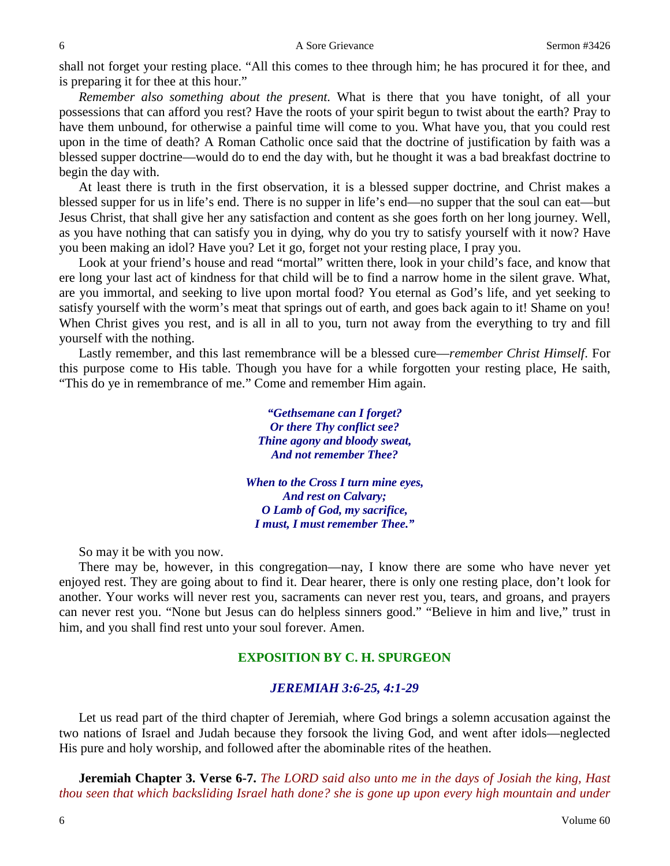shall not forget your resting place. "All this comes to thee through him; he has procured it for thee, and is preparing it for thee at this hour."

*Remember also something about the present.* What is there that you have tonight, of all your possessions that can afford you rest? Have the roots of your spirit begun to twist about the earth? Pray to have them unbound, for otherwise a painful time will come to you. What have you, that you could rest upon in the time of death? A Roman Catholic once said that the doctrine of justification by faith was a blessed supper doctrine—would do to end the day with, but he thought it was a bad breakfast doctrine to begin the day with.

At least there is truth in the first observation, it is a blessed supper doctrine, and Christ makes a blessed supper for us in life's end. There is no supper in life's end—no supper that the soul can eat—but Jesus Christ, that shall give her any satisfaction and content as she goes forth on her long journey. Well, as you have nothing that can satisfy you in dying, why do you try to satisfy yourself with it now? Have you been making an idol? Have you? Let it go, forget not your resting place, I pray you.

Look at your friend's house and read "mortal" written there, look in your child's face, and know that ere long your last act of kindness for that child will be to find a narrow home in the silent grave. What, are you immortal, and seeking to live upon mortal food? You eternal as God's life, and yet seeking to satisfy yourself with the worm's meat that springs out of earth, and goes back again to it! Shame on you! When Christ gives you rest, and is all in all to you, turn not away from the everything to try and fill yourself with the nothing.

Lastly remember, and this last remembrance will be a blessed cure—*remember Christ Himself*. For this purpose come to His table. Though you have for a while forgotten your resting place, He saith, "This do ye in remembrance of me." Come and remember Him again.

> *"Gethsemane can I forget? Or there Thy conflict see? Thine agony and bloody sweat, And not remember Thee?*

*When to the Cross I turn mine eyes, And rest on Calvary; O Lamb of God, my sacrifice, I must, I must remember Thee."*

So may it be with you now.

There may be, however, in this congregation—nay, I know there are some who have never yet enjoyed rest. They are going about to find it. Dear hearer, there is only one resting place, don't look for another. Your works will never rest you, sacraments can never rest you, tears, and groans, and prayers can never rest you. "None but Jesus can do helpless sinners good." "Believe in him and live," trust in him, and you shall find rest unto your soul forever. Amen.

# **EXPOSITION BY C. H. SPURGEON**

### *JEREMIAH 3:6-25, 4:1-29*

Let us read part of the third chapter of Jeremiah, where God brings a solemn accusation against the two nations of Israel and Judah because they forsook the living God, and went after idols—neglected His pure and holy worship, and followed after the abominable rites of the heathen.

**Jeremiah Chapter 3. Verse 6-7.** *The LORD said also unto me in the days of Josiah the king, Hast thou seen that which backsliding Israel hath done? she is gone up upon every high mountain and under*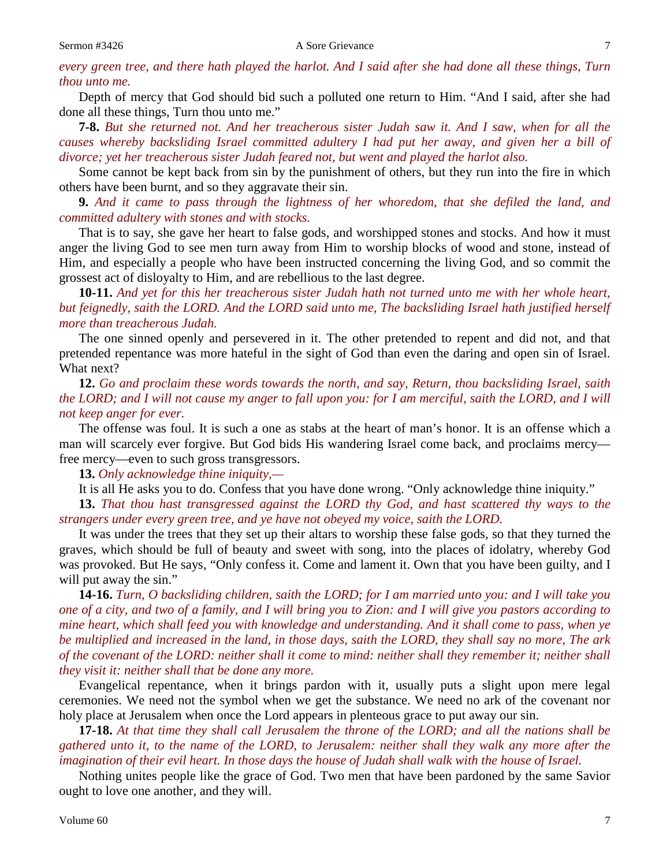*every green tree, and there hath played the harlot. And I said after she had done all these things, Turn thou unto me.* 

Depth of mercy that God should bid such a polluted one return to Him. "And I said, after she had done all these things, Turn thou unto me."

**7-8.** *But she returned not. And her treacherous sister Judah saw it. And I saw, when for all the causes whereby backsliding Israel committed adultery I had put her away, and given her a bill of divorce; yet her treacherous sister Judah feared not, but went and played the harlot also.*

Some cannot be kept back from sin by the punishment of others, but they run into the fire in which others have been burnt, and so they aggravate their sin.

**9.** *And it came to pass through the lightness of her whoredom, that she defiled the land, and committed adultery with stones and with stocks.*

That is to say, she gave her heart to false gods, and worshipped stones and stocks. And how it must anger the living God to see men turn away from Him to worship blocks of wood and stone, instead of Him, and especially a people who have been instructed concerning the living God, and so commit the grossest act of disloyalty to Him, and are rebellious to the last degree.

**10-11.** *And yet for this her treacherous sister Judah hath not turned unto me with her whole heart, but feignedly, saith the LORD. And the LORD said unto me, The backsliding Israel hath justified herself more than treacherous Judah.*

The one sinned openly and persevered in it. The other pretended to repent and did not, and that pretended repentance was more hateful in the sight of God than even the daring and open sin of Israel. What next?

**12.** *Go and proclaim these words towards the north, and say, Return, thou backsliding Israel, saith the LORD; and I will not cause my anger to fall upon you: for I am merciful, saith the LORD, and I will not keep anger for ever.*

The offense was foul. It is such a one as stabs at the heart of man's honor. It is an offense which a man will scarcely ever forgive. But God bids His wandering Israel come back, and proclaims mercy free mercy—even to such gross transgressors.

**13.** *Only acknowledge thine iniquity,—*

It is all He asks you to do. Confess that you have done wrong. "Only acknowledge thine iniquity." **13.** *That thou hast transgressed against the LORD thy God, and hast scattered thy ways to the strangers under every green tree, and ye have not obeyed my voice, saith the LORD.*

It was under the trees that they set up their altars to worship these false gods, so that they turned the graves, which should be full of beauty and sweet with song, into the places of idolatry, whereby God was provoked. But He says, "Only confess it. Come and lament it. Own that you have been guilty, and I will put away the sin."

**14-16.** *Turn, O backsliding children, saith the LORD; for I am married unto you: and I will take you one of a city, and two of a family, and I will bring you to Zion: and I will give you pastors according to mine heart, which shall feed you with knowledge and understanding. And it shall come to pass, when ye be multiplied and increased in the land, in those days, saith the LORD, they shall say no more, The ark of the covenant of the LORD: neither shall it come to mind: neither shall they remember it; neither shall they visit it: neither shall that be done any more.*

Evangelical repentance, when it brings pardon with it, usually puts a slight upon mere legal ceremonies. We need not the symbol when we get the substance. We need no ark of the covenant nor holy place at Jerusalem when once the Lord appears in plenteous grace to put away our sin.

**17-18.** *At that time they shall call Jerusalem the throne of the LORD; and all the nations shall be gathered unto it, to the name of the LORD, to Jerusalem: neither shall they walk any more after the imagination of their evil heart. In those days the house of Judah shall walk with the house of Israel.* 

Nothing unites people like the grace of God. Two men that have been pardoned by the same Savior ought to love one another, and they will.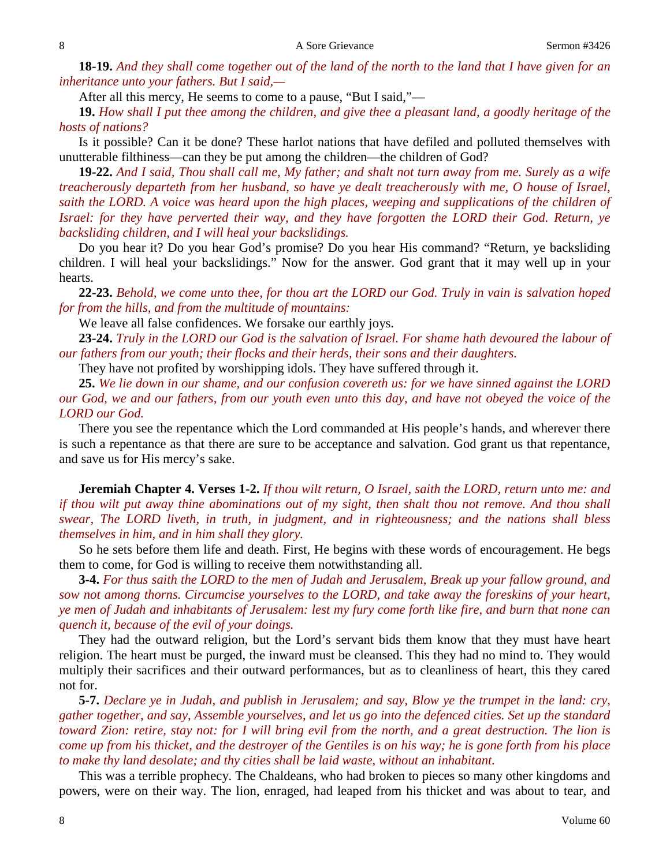**18-19.** *And they shall come together out of the land of the north to the land that I have given for an inheritance unto your fathers. But I said,—*

After all this mercy, He seems to come to a pause, "But I said,"—

**19.** *How shall I put thee among the children, and give thee a pleasant land, a goodly heritage of the hosts of nations?*

Is it possible? Can it be done? These harlot nations that have defiled and polluted themselves with unutterable filthiness—can they be put among the children—the children of God?

**19-22.** *And I said, Thou shall call me, My father; and shalt not turn away from me. Surely as a wife treacherously departeth from her husband, so have ye dealt treacherously with me, O house of Israel, saith the LORD. A voice was heard upon the high places, weeping and supplications of the children of Israel: for they have perverted their way, and they have forgotten the LORD their God. Return, ye backsliding children, and I will heal your backslidings.*

Do you hear it? Do you hear God's promise? Do you hear His command? "Return, ye backsliding children. I will heal your backslidings." Now for the answer. God grant that it may well up in your hearts.

**22-23.** *Behold, we come unto thee, for thou art the LORD our God. Truly in vain is salvation hoped for from the hills, and from the multitude of mountains:*

We leave all false confidences. We forsake our earthly joys.

**23-24.** *Truly in the LORD our God is the salvation of Israel. For shame hath devoured the labour of our fathers from our youth; their flocks and their herds, their sons and their daughters.*

They have not profited by worshipping idols. They have suffered through it.

**25.** *We lie down in our shame, and our confusion covereth us: for we have sinned against the LORD our God, we and our fathers, from our youth even unto this day, and have not obeyed the voice of the LORD our God.*

There you see the repentance which the Lord commanded at His people's hands, and wherever there is such a repentance as that there are sure to be acceptance and salvation. God grant us that repentance, and save us for His mercy's sake.

**Jeremiah Chapter 4. Verses 1-2.** *If thou wilt return, O Israel, saith the LORD, return unto me: and if thou wilt put away thine abominations out of my sight, then shalt thou not remove. And thou shall swear, The LORD liveth, in truth, in judgment, and in righteousness; and the nations shall bless themselves in him, and in him shall they glory.*

So he sets before them life and death. First, He begins with these words of encouragement. He begs them to come, for God is willing to receive them notwithstanding all.

**3-4.** *For thus saith the LORD to the men of Judah and Jerusalem, Break up your fallow ground, and sow not among thorns. Circumcise yourselves to the LORD, and take away the foreskins of your heart, ye men of Judah and inhabitants of Jerusalem: lest my fury come forth like fire, and burn that none can quench it, because of the evil of your doings.*

They had the outward religion, but the Lord's servant bids them know that they must have heart religion. The heart must be purged, the inward must be cleansed. This they had no mind to. They would multiply their sacrifices and their outward performances, but as to cleanliness of heart, this they cared not for.

**5-7.** *Declare ye in Judah, and publish in Jerusalem; and say, Blow ye the trumpet in the land: cry, gather together, and say, Assemble yourselves, and let us go into the defenced cities. Set up the standard toward Zion: retire, stay not: for I will bring evil from the north, and a great destruction. The lion is come up from his thicket, and the destroyer of the Gentiles is on his way; he is gone forth from his place to make thy land desolate; and thy cities shall be laid waste, without an inhabitant.*

This was a terrible prophecy. The Chaldeans, who had broken to pieces so many other kingdoms and powers, were on their way. The lion, enraged, had leaped from his thicket and was about to tear, and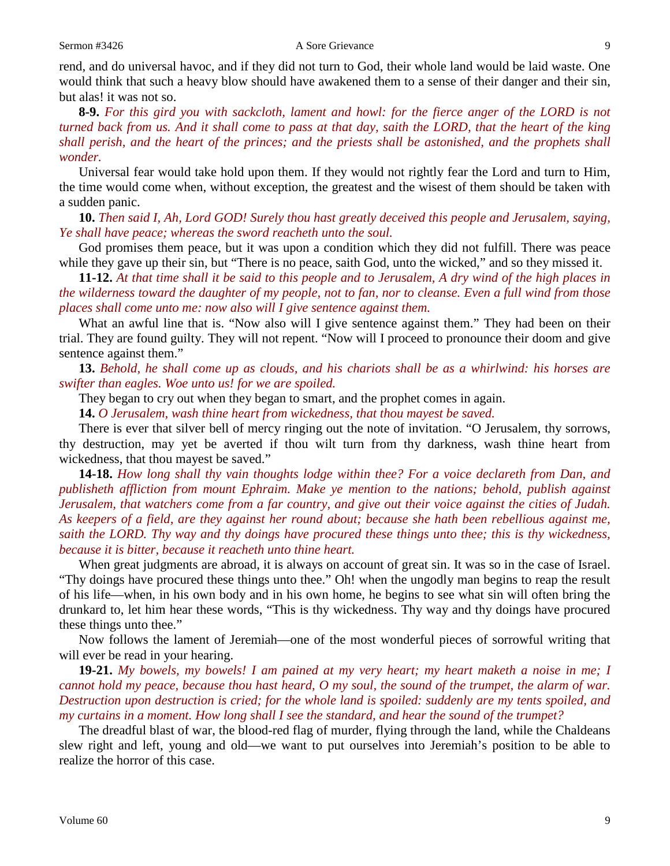rend, and do universal havoc, and if they did not turn to God, their whole land would be laid waste. One would think that such a heavy blow should have awakened them to a sense of their danger and their sin, but alas! it was not so.

**8-9.** *For this gird you with sackcloth, lament and howl: for the fierce anger of the LORD is not turned back from us. And it shall come to pass at that day, saith the LORD, that the heart of the king shall perish, and the heart of the princes; and the priests shall be astonished, and the prophets shall wonder.*

Universal fear would take hold upon them. If they would not rightly fear the Lord and turn to Him, the time would come when, without exception, the greatest and the wisest of them should be taken with a sudden panic.

**10.** *Then said I, Ah, Lord GOD! Surely thou hast greatly deceived this people and Jerusalem, saying, Ye shall have peace; whereas the sword reacheth unto the soul.*

God promises them peace, but it was upon a condition which they did not fulfill. There was peace while they gave up their sin, but "There is no peace, saith God, unto the wicked," and so they missed it.

**11-12.** *At that time shall it be said to this people and to Jerusalem, A dry wind of the high places in the wilderness toward the daughter of my people, not to fan, nor to cleanse. Even a full wind from those places shall come unto me: now also will I give sentence against them.*

What an awful line that is. "Now also will I give sentence against them." They had been on their trial. They are found guilty. They will not repent. "Now will I proceed to pronounce their doom and give sentence against them."

**13.** *Behold, he shall come up as clouds, and his chariots shall be as a whirlwind: his horses are swifter than eagles. Woe unto us! for we are spoiled.*

They began to cry out when they began to smart, and the prophet comes in again.

**14.** *O Jerusalem, wash thine heart from wickedness, that thou mayest be saved.*

There is ever that silver bell of mercy ringing out the note of invitation. "O Jerusalem, thy sorrows, thy destruction, may yet be averted if thou wilt turn from thy darkness, wash thine heart from wickedness, that thou mayest be saved."

**14-18.** *How long shall thy vain thoughts lodge within thee? For a voice declareth from Dan, and publisheth affliction from mount Ephraim. Make ye mention to the nations; behold, publish against Jerusalem, that watchers come from a far country, and give out their voice against the cities of Judah. As keepers of a field, are they against her round about; because she hath been rebellious against me, saith the LORD. Thy way and thy doings have procured these things unto thee; this is thy wickedness, because it is bitter, because it reacheth unto thine heart.*

When great judgments are abroad, it is always on account of great sin. It was so in the case of Israel. "Thy doings have procured these things unto thee." Oh! when the ungodly man begins to reap the result of his life—when, in his own body and in his own home, he begins to see what sin will often bring the drunkard to, let him hear these words, "This is thy wickedness. Thy way and thy doings have procured these things unto thee."

Now follows the lament of Jeremiah—one of the most wonderful pieces of sorrowful writing that will ever be read in your hearing.

**19-21.** *My bowels, my bowels! I am pained at my very heart; my heart maketh a noise in me; I cannot hold my peace, because thou hast heard, O my soul, the sound of the trumpet, the alarm of war. Destruction upon destruction is cried; for the whole land is spoiled: suddenly are my tents spoiled, and my curtains in a moment. How long shall I see the standard, and hear the sound of the trumpet?*

The dreadful blast of war, the blood-red flag of murder, flying through the land, while the Chaldeans slew right and left, young and old—we want to put ourselves into Jeremiah's position to be able to realize the horror of this case.